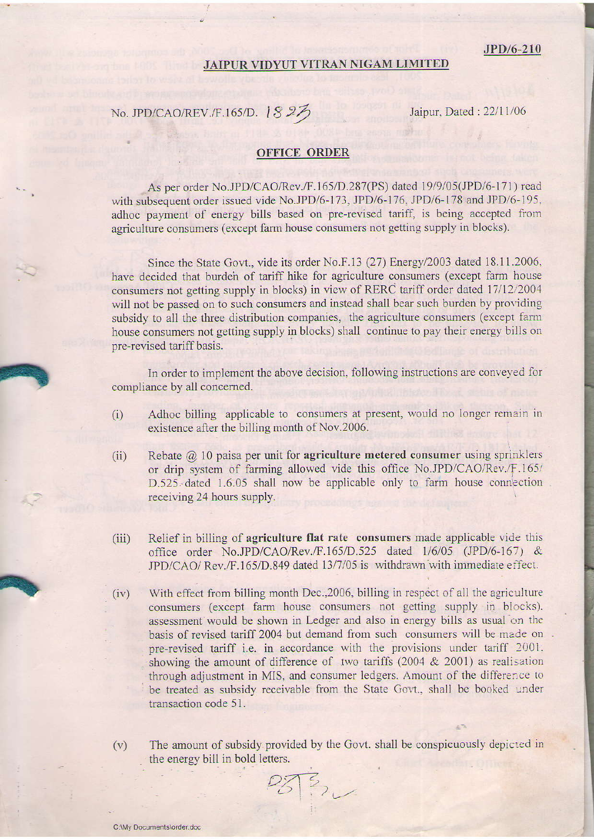**International Property** 

## JAIPUR VIDYUT VITRAN NIGAM LIMITED

## No. JPD/CAO/REV./F.165/D. |  $827$  Jaipur, Dated : 22/11/06

## OFFICE ORDER

As per order No.JPD/CAO/Rev./F.165/D.287(PS) dated 19/9/05(JPD/6-171) read with subsequent order issued vide No.JPD/6-173, JPD/6-176, JPD/6-178 and JPD/6-195. adhoc payment of energy bills based on pre-revised tariff, is being accepted from agriculture consumers (except farm house consumers not getting supply in blocks).

Since the State Govt., vide its order No.F.13 (27) Energy/2003 dated 18.11.2006, have decided that burden of tariff hike for agriculture consumers (except farm house consumers not getting supply in blocks) in view of RERC tariff order dated 17/12/2004 will not be passed on to such consumers and instead shall bear such burden by providing subsidy to all the three distribution companies, the agriculture consumers (except farm house consumers not getting supply in blocks) shall continue to pay their energy bilis on pre-revised tariff basis.

In order to implement the above decision, following instructions are conveyed for compliance by all concemed.

- (i) Adhoc billing applicable to consumers at present, would no longer remain in existence after the billing month of Nov.2006.
- (ii) Rebate  $\omega$  10 paisa per unit for **agriculture metered consumer** using sprinklers or drip system of farming allowed vide this office No.JPD/CAO/Rev./F.165/ D.525 dated 1.6.05 shall now be applicable only to farm house connection receiving 24 hours supply.
- (iii) Relief in billing of agriculture flat rate consumers made applicable vide this office order No.JPD/CAO/Rev./F.165/D.525 dated 1/6/05 (JPD/6-167) &  $JPD/CAO/Rev.F.165/D.849$  dated  $13/7/05$  is withdrawn with immediate effect.
- With effect from billing month Dec., 2006, billing in respect of all the agriculture consumers (except farm house consumers not getting supply in blocks). assessment would be shown in Ledger and also in energy bills as usual on the basis of revised tariff 2004 but demand from such consumers will be made on. pre-revised tariff i.e. in accordance with the provisions under tariff 2001. showing the amount of difference of two tariffs  $(2004 \& 2001)$  as realisation through adjustment in MIS, and consumer ledgers. Amount of the difference to be treated as subsidy receivable from the State Govt., shall be booked under transaction code 51.  $(iv)$

(v) The amount of subsidy provided by the Govt. shall be conspicuously depicted in the energy bill in bold lefters.

L.\ /,,.

07